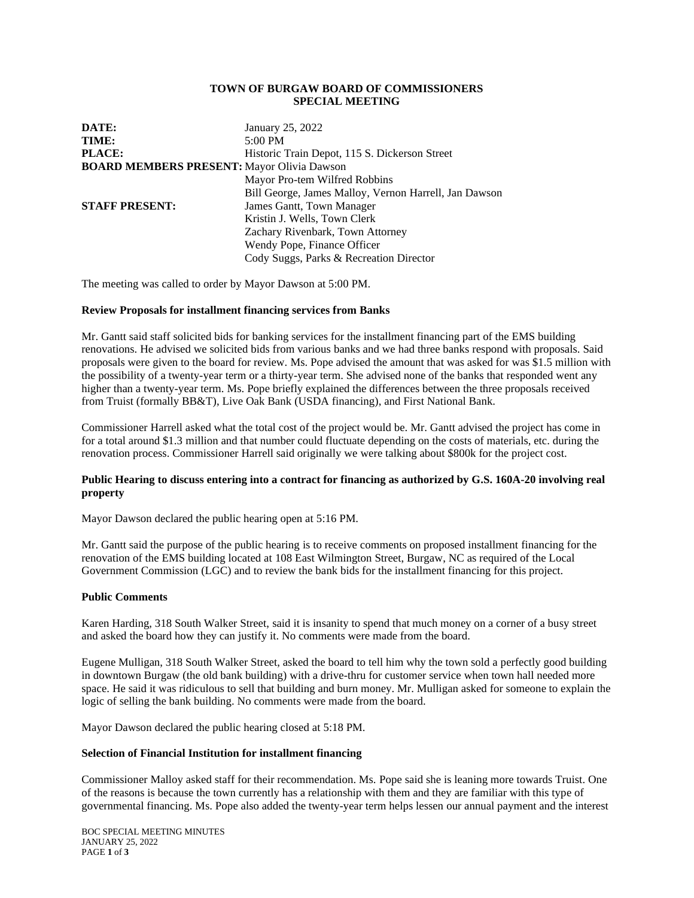## **TOWN OF BURGAW BOARD OF COMMISSIONERS SPECIAL MEETING**

| DATE:                                             | January 25, 2022                                      |
|---------------------------------------------------|-------------------------------------------------------|
| TIME:                                             | 5:00 PM                                               |
| <b>PLACE:</b>                                     | Historic Train Depot, 115 S. Dickerson Street         |
| <b>BOARD MEMBERS PRESENT: Mayor Olivia Dawson</b> |                                                       |
|                                                   | Mayor Pro-tem Wilfred Robbins                         |
|                                                   | Bill George, James Malloy, Vernon Harrell, Jan Dawson |
| <b>STAFF PRESENT:</b>                             | James Gantt, Town Manager                             |
|                                                   | Kristin J. Wells, Town Clerk                          |
|                                                   | Zachary Rivenbark, Town Attorney                      |
|                                                   | Wendy Pope, Finance Officer                           |
|                                                   | Cody Suggs, Parks & Recreation Director               |

The meeting was called to order by Mayor Dawson at 5:00 PM.

# **Review Proposals for installment financing services from Banks**

Mr. Gantt said staff solicited bids for banking services for the installment financing part of the EMS building renovations. He advised we solicited bids from various banks and we had three banks respond with proposals. Said proposals were given to the board for review. Ms. Pope advised the amount that was asked for was \$1.5 million with the possibility of a twenty-year term or a thirty-year term. She advised none of the banks that responded went any higher than a twenty-year term. Ms. Pope briefly explained the differences between the three proposals received from Truist (formally BB&T), Live Oak Bank (USDA financing), and First National Bank.

Commissioner Harrell asked what the total cost of the project would be. Mr. Gantt advised the project has come in for a total around \$1.3 million and that number could fluctuate depending on the costs of materials, etc. during the renovation process. Commissioner Harrell said originally we were talking about \$800k for the project cost.

# **Public Hearing to discuss entering into a contract for financing as authorized by G.S. 160A-20 involving real property**

Mayor Dawson declared the public hearing open at 5:16 PM.

Mr. Gantt said the purpose of the public hearing is to receive comments on proposed installment financing for the renovation of the EMS building located at 108 East Wilmington Street, Burgaw, NC as required of the Local Government Commission (LGC) and to review the bank bids for the installment financing for this project.

## **Public Comments**

Karen Harding, 318 South Walker Street, said it is insanity to spend that much money on a corner of a busy street and asked the board how they can justify it. No comments were made from the board.

Eugene Mulligan, 318 South Walker Street, asked the board to tell him why the town sold a perfectly good building in downtown Burgaw (the old bank building) with a drive-thru for customer service when town hall needed more space. He said it was ridiculous to sell that building and burn money. Mr. Mulligan asked for someone to explain the logic of selling the bank building. No comments were made from the board.

Mayor Dawson declared the public hearing closed at 5:18 PM.

## **Selection of Financial Institution for installment financing**

Commissioner Malloy asked staff for their recommendation. Ms. Pope said she is leaning more towards Truist. One of the reasons is because the town currently has a relationship with them and they are familiar with this type of governmental financing. Ms. Pope also added the twenty-year term helps lessen our annual payment and the interest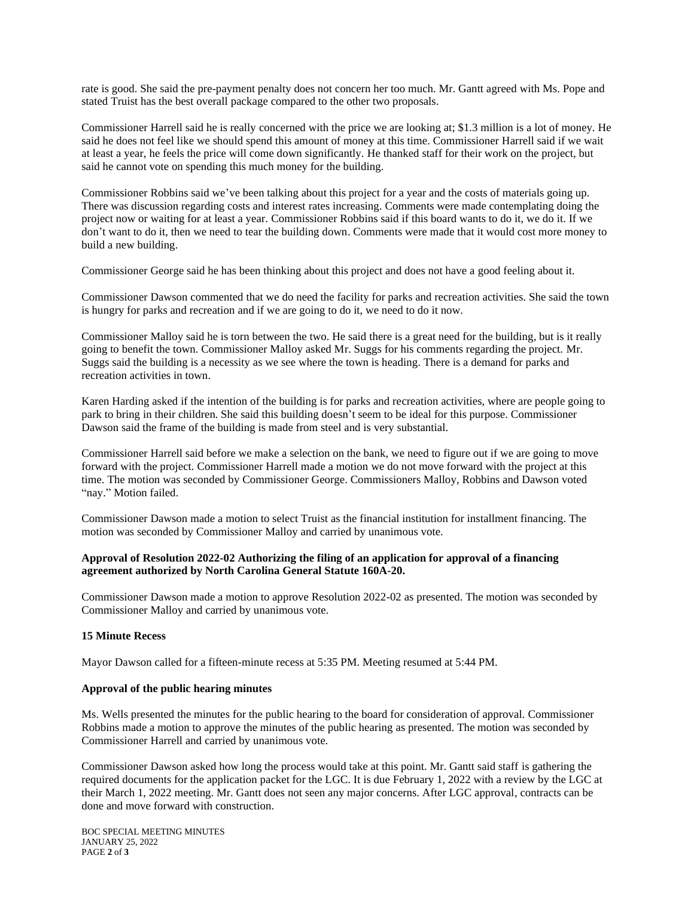rate is good. She said the pre-payment penalty does not concern her too much. Mr. Gantt agreed with Ms. Pope and stated Truist has the best overall package compared to the other two proposals.

Commissioner Harrell said he is really concerned with the price we are looking at; \$1.3 million is a lot of money. He said he does not feel like we should spend this amount of money at this time. Commissioner Harrell said if we wait at least a year, he feels the price will come down significantly. He thanked staff for their work on the project, but said he cannot vote on spending this much money for the building.

Commissioner Robbins said we've been talking about this project for a year and the costs of materials going up. There was discussion regarding costs and interest rates increasing. Comments were made contemplating doing the project now or waiting for at least a year. Commissioner Robbins said if this board wants to do it, we do it. If we don't want to do it, then we need to tear the building down. Comments were made that it would cost more money to build a new building.

Commissioner George said he has been thinking about this project and does not have a good feeling about it.

Commissioner Dawson commented that we do need the facility for parks and recreation activities. She said the town is hungry for parks and recreation and if we are going to do it, we need to do it now.

Commissioner Malloy said he is torn between the two. He said there is a great need for the building, but is it really going to benefit the town. Commissioner Malloy asked Mr. Suggs for his comments regarding the project. Mr. Suggs said the building is a necessity as we see where the town is heading. There is a demand for parks and recreation activities in town.

Karen Harding asked if the intention of the building is for parks and recreation activities, where are people going to park to bring in their children. She said this building doesn't seem to be ideal for this purpose. Commissioner Dawson said the frame of the building is made from steel and is very substantial.

Commissioner Harrell said before we make a selection on the bank, we need to figure out if we are going to move forward with the project. Commissioner Harrell made a motion we do not move forward with the project at this time. The motion was seconded by Commissioner George. Commissioners Malloy, Robbins and Dawson voted "nay." Motion failed.

Commissioner Dawson made a motion to select Truist as the financial institution for installment financing. The motion was seconded by Commissioner Malloy and carried by unanimous vote.

# **Approval of Resolution 2022-02 Authorizing the filing of an application for approval of a financing agreement authorized by North Carolina General Statute 160A-20.**

Commissioner Dawson made a motion to approve Resolution 2022-02 as presented. The motion was seconded by Commissioner Malloy and carried by unanimous vote.

# **15 Minute Recess**

Mayor Dawson called for a fifteen-minute recess at 5:35 PM. Meeting resumed at 5:44 PM.

## **Approval of the public hearing minutes**

Ms. Wells presented the minutes for the public hearing to the board for consideration of approval. Commissioner Robbins made a motion to approve the minutes of the public hearing as presented. The motion was seconded by Commissioner Harrell and carried by unanimous vote.

Commissioner Dawson asked how long the process would take at this point. Mr. Gantt said staff is gathering the required documents for the application packet for the LGC. It is due February 1, 2022 with a review by the LGC at their March 1, 2022 meeting. Mr. Gantt does not seen any major concerns. After LGC approval, contracts can be done and move forward with construction.